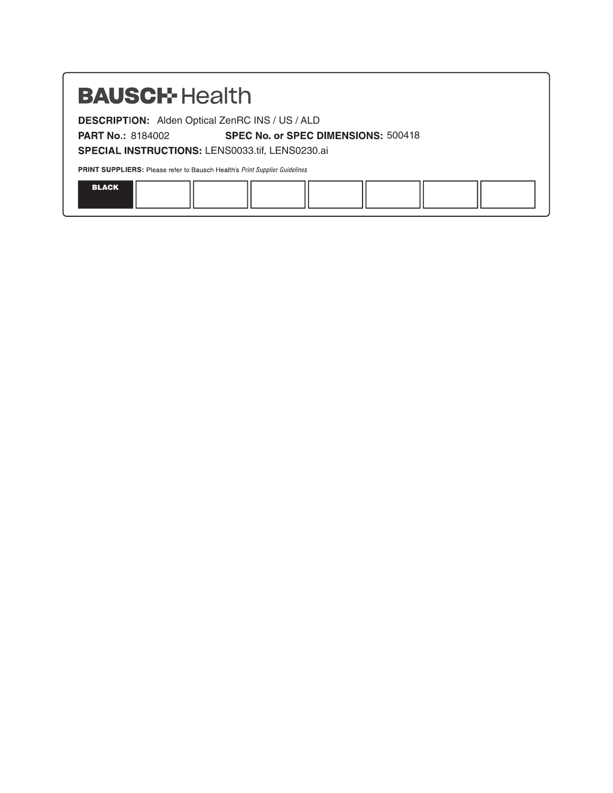# **BAUSCH-Health**

**DESCRIPTION:** Alden Optical ZenRC INS / US / ALD

**PART No: 8184002** 

SPECIAL INSTRUCTIONS: LENS0033.tif, LENS0230.ai

PRINT SUPPLIERS: Please refer to Bausch Health's Print Supplier Guidelines

|  | <b>RIACK</b> |  |  |  |  |  |  |  |
|--|--------------|--|--|--|--|--|--|--|
|--|--------------|--|--|--|--|--|--|--|

SPEC No. or SPEC DIMENSIONS: 500418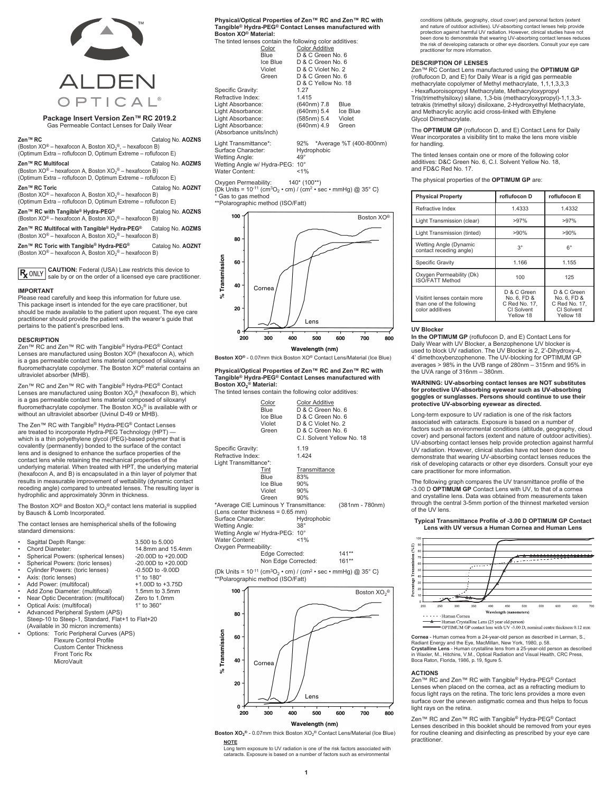

#### **Package Insert Version Zen™ RC 2019.2** Gas Permeable Contact Lenses for Daily Wear

**Zen™ RC** Catalog No. **AOZNS** (Boston XO® – hexafocon A, Boston XO<sub>2</sub>®, – hexafocon B) (Optimum Extra – roflufocon D, Optimum Extreme – roflufocon E) **Zen™ RC Multifocal** Catalog No. **AOZMS** (Boston XO® – hexafocon A, Boston XO<sub>2</sub>® – hexafocon B) (Optimum Extra – roflufocon D, Optimum Extreme – roflufocon E) **Zen™ RC Toric** Catalog No. **AOZNT** (Boston XO® – hexafocon A, Boston XO<sub>2</sub>® – hexafocon B) (Optimum Extra – roflufocon D, Optimum Extreme – roflufocon E) Zen™ RC with Tangible<sup>®</sup> Hydra-PEG<sup>®</sup> Catalog No. AOZNS (Boston XO® – hexafocon A, Boston XO<sub>2</sub>® – hexafocon B) **Zen™ RC Multifocal with Tangible® Hydra-PEG®** Catalog No. **AOZMS**

(Boston XO® – hexafocon A, Boston XO<sub>2</sub>® – hexafocon B)

**Zen™ RC Toric with Tangible® Hydra-PEG®** Catalog No. **AOZNT** (Boston XO® – hexafocon A, Boston XO<sub>2</sub>® – hexafocon B)

**R** ONLY **CAUTION:** Federal (USA) Law restricts this device to sale by or on the order of a licensed eye care practitioner.

#### **IMPORTANT**

Please read carefully and keep this information for future use This package insert is intended for the eye care practitioner, but should be made available to the patient upon request. The eye care practitioner should provide the patient with the wearer's guide that pertains to the patient's prescribed lens.

#### **DESCRIPTION**

Zen™ RC and Zen™ RC with Tangible® Hydra-PEG® Contact Lenses are manufactured using Boston XO<sup>®</sup> (hexafocon A), which is a gas permeable contact lens material composed of siloxanyl fluoromethacrylate copolymer. The Boston XO® material contains an ultraviolet absorber (MHB).

Zen™ RC and Zen™ RC with Tangible® Hydra-PEG® Contact Lenses are manufactured using Boston XO<sub>2</sub><sup>®</sup> (hexafocon B), which is a gas permeable contact lens material composed of siloxanyl fluoromethacrylate copolymer. The Boston XO2 ® is available with or without an ultraviolet absorber (Uvinul D-49 or MHB).

The Zen™ RC with Tangible® Hydra-PEG® Contact Lenses are treated to incorporate Hydra-PEG Technology (HPT) which is a thin polyethylene glycol (PEG)-based polymer that is covalently (permanently) bonded to the surface of the contact lens and is designed to enhance the surface properties of the contact lens while retaining the mechanical properties of the underlying material. When treated with HPT, the underlying material (hexafocon A, and B) is encapsulated in a thin layer of polymer that results in measurable improvement of wettability (dynamic contact receding angle) compared to untreated lenses. The resulting layer is hydrophilic and approximately 30nm in thickness.

The Boston XO<sup>®</sup> and Boston XO<sub>2</sub><sup>®</sup> contact lens material is supplied by Bausch & Lomb Incorporated.

The contact lenses are hemispherical shells of the following standard dimensions:

|   | Sagittal Depth Range:                            | 3,500 to 5,000         |
|---|--------------------------------------------------|------------------------|
|   | Chord Diameter:                                  | 14.8mm and 15.4mm      |
|   | Spherical Powers: (spherical lenses)             | $-20.00D$ to $+20.00D$ |
|   | Spherical Powers: (toric lenses)                 | $-20.00D$ to $+20.00D$ |
|   | Cylinder Powers: (toric lenses)                  | $-0.50D$ to $-9.00D$   |
|   | Axis: (toric lenses)                             | 1° to 180°             |
| ٠ | Add Power: (multifocal)                          | $+1.00D$ to $+3.75D$   |
|   | Add Zone Diameter: (multifocal)                  | 1.5mm to 3.5mm         |
| ٠ | Near Optic Decentration: (multifocal)            | Zero to 1.0mm          |
|   | Optical Axis: (multifocal)                       | 1° to 360°             |
|   | Advanced Peripheral System (APS)                 |                        |
|   | Steep-10 to Steep-1, Standard, Flat+1 to Flat+20 |                        |
|   | $(A, a)$ lahla in $20$ miaran inaramanta)        |                        |

(Available in 30 micron increments) • Options: Toric Peripheral Curves (APS) Flexure Control Profile

Custom Center Thickness Front Toric Rx **MicroVault** 

**Physical/Optical Properties of Zen™ RC and Zen™ RC with Tangible® Hydra-PEG® Contact Lenses manufactured with Boston XO® Material:**

| Boston ⊼O® Materiai:                                     |          |              |                       |                             |
|----------------------------------------------------------|----------|--------------|-----------------------|-----------------------------|
| The tinted lenses contain the following color additives: |          |              |                       |                             |
|                                                          | Color    |              | <b>Color Additive</b> |                             |
|                                                          | Blue     |              | D & C Green No. 6     |                             |
|                                                          | Ice Blue |              | D & C Green No. 6     |                             |
|                                                          | Violet   |              | D & C Violet No. 2    |                             |
|                                                          | Green    |              | D & C Green No. 6     |                             |
|                                                          |          |              | D & C Yellow No. 18   |                             |
| Specific Gravity:                                        |          | 1.27         |                       |                             |
| Refractive Index:                                        |          | 1.415        |                       |                             |
| Light Absorbance:                                        |          |              | (640nm) 7.8           | Blue                        |
| Light Absorbance:                                        |          |              | (640nm) 5.4           | Ice Blue                    |
| Light Absorbance:                                        |          |              | (585nm) 5.4           | Violet                      |
| Light Absorbance:                                        |          |              | (640nm) 4.9           | Green                       |
| (Absorbance units/inch)                                  |          |              |                       |                             |
| Light Transmittance*:<br>Surface Character:              |          |              | Hydrophobic           | 92% *Average %T (400-800nm) |
| <b>Wetting Angle:</b>                                    |          | $49^{\circ}$ |                       |                             |
| Wetting Angle w/ Hydra-PEG: 10°                          |          |              |                       |                             |
|                                                          |          |              |                       |                             |

Oxygen Permeability: 140\* (100\*\*) {Dk Units = 10-11 (cm3O2 • cm) / (cm2 • sec • mmHg) @ 35° C} Gas to gas method

\*\*Polarographic method (ISO/Fatt)

Water Content: <1%



**Boston XO®** - 0.07mm thick Boston XO® Contact Lens/Material (Ice Blue)

**Physical/Optical Properties of Zen™ RC and Zen™ RC with Tangible® Hydra-PEG® Contact Lenses manufactured with Boston XO2 ® Material:**



|                                                                                                                               | Color<br>Blue<br>Ice Blue<br>Violet<br>Green | <b>Color Additive</b><br>D & C Green No. 6<br>D & C Green No. 6<br>D & C Violet No. 2<br>D & C Green No. 6<br>C.I. Solvent Yellow No. 18 |                 |
|-------------------------------------------------------------------------------------------------------------------------------|----------------------------------------------|------------------------------------------------------------------------------------------------------------------------------------------|-----------------|
| Specific Gravity:<br>Refractive Index:<br>Light Transmittance*:                                                               |                                              | 1.19<br>1.424                                                                                                                            |                 |
|                                                                                                                               | Tint                                         | Transmittance                                                                                                                            |                 |
|                                                                                                                               | Blue                                         | 83%                                                                                                                                      |                 |
|                                                                                                                               | Ice Blue                                     | 90%                                                                                                                                      |                 |
|                                                                                                                               | Violet                                       | 90%                                                                                                                                      |                 |
|                                                                                                                               | Green                                        | 90%                                                                                                                                      |                 |
| *Average CIE Luminous Y Transmittance:                                                                                        |                                              |                                                                                                                                          | (381nm - 780nm) |
| (Lens center thickness = 0.65 mm)                                                                                             |                                              |                                                                                                                                          |                 |
| Surface Character:                                                                                                            |                                              | Hydrophobic                                                                                                                              |                 |
| Wetting Angle:                                                                                                                |                                              | $38^\circ$                                                                                                                               |                 |
| Wetting Angle w/ Hydra-PEG: 10°                                                                                               |                                              |                                                                                                                                          |                 |
| Water Content:                                                                                                                |                                              | $< 1\%$                                                                                                                                  |                 |
| Oxygen Permeability:                                                                                                          |                                              |                                                                                                                                          |                 |
|                                                                                                                               | Edge Corrected:                              |                                                                                                                                          | $141**$         |
|                                                                                                                               | Non Edge Corrected:                          |                                                                                                                                          | $161**$         |
| $I_{\rm N}$ I Inite = 10 <sup>-11</sup> (cm <sup>3</sup> O, $\cdot$ cm) / (cm <sup>2</sup> $\cdot$ sec $\cdot$ mmHg) @ 35° CJ |                                              |                                                                                                                                          |                 |





**Boston XO2 ®** - 0.07mm thick Boston XO2 ® Contact Lens/Material (Ice Blue)

**NOTE** Long term exposure to UV radiation is one of the risk factors associated with cataracts. Exposure is based on a number of factors such as environmental

conditions (altitude, geography, cloud cover) and personal factors (extent<br>and nature of outdoor activities). UV-absorbing contact lenses help provide<br>protection against harmful UV radiation. However, clinical studies have been done to demonstrate that wearing UV-absorbing contact lenses reduces the risk of developing cataracts or other eye disorders. Consult your eye care practitioner for more information.

#### **DESCRIPTION OF LENSES**

Zen™ RC Contact Lens manufactured using the **OPTIMUM GP** (roflufocon D, and E) for Daily Wear is a rigid gas permeable methacrylate copolymer of Methyl methacrylate, 1,1,1,3,3,3 - Hexafluoroisopropyl Methacrylate, Methacryloxypropyl Tris(trimethylsiloxy) silane, 1,3-bis (methacryloxypropyl)-1,1,3,3 tetrakis (trimethyl siloxy) disiloxane, 2-Hydroxyethyl Methacrylate, and Methacrylic acrylic acid cross-linked with Ethylene Glycol Dimethacrylate.

The **OPTIMUM GP** (roflufocon D, and E) Contact Lens for Daily Wear incorporates a visibility tint to make the lens more visible for handling.

The tinted lenses contain one or more of the following color additives: D&C Green No. 6, C.I. Solvent Yellow No. 18, and FD&C Red No. 17.

The physical properties of the **OPTIMUM GP** are:

| <b>Physical Property</b>                                                     | roflufocon D                                                           | roflufocon E                                                           |
|------------------------------------------------------------------------------|------------------------------------------------------------------------|------------------------------------------------------------------------|
| Refractive Index                                                             | 1.4333                                                                 | 1.4332                                                                 |
| Light Transmission (clear)                                                   | >97%                                                                   | >97%                                                                   |
| Light Transmission (tinted)                                                  | >90%                                                                   | >90%                                                                   |
| Wetting Angle (Dynamic<br>contact receding angle)                            | $3^{\circ}$                                                            | $6^{\circ}$                                                            |
| Specific Gravity                                                             | 1.166                                                                  | 1.155                                                                  |
| Oxygen Permeability (Dk)<br>ISO/FATT Method                                  | 100                                                                    | 125                                                                    |
| Visitint lenses contain more<br>than one of the following<br>color additives | D & C Green<br>No. 6. FD &<br>C Red No. 17.<br>CI Solvent<br>Yellow 18 | D & C Green<br>No. 6. FD &<br>C Red No. 17.<br>CI Solvent<br>Yellow 18 |

#### **UV Blocker**

**In the OPTIMUM GP** (roflufocon D, and E) Contact Lens for Daily Wear with UV Blocker, a Benzophenone UV blocker is used to block UV radiation. The UV Blocker is 2, 2'-Dihydroxy-4, 4' dimethoxybenzophenone. The UV-blocking for OPTIMUM GP averages > 98% in the UVB range of 280nm – 315nm and 95% in the UVA range of 316nm – 380nm.

# **WARNING: UV-absorbing contact lenses are NOT substitutes for protective UV-absorbing eyewear such as UV-absorbing goggles or sunglasses. Persons should continue to use their protective UV-absorbing eyewear as directed.**

Long-term exposure to UV radiation is one of the risk factors associated with cataracts. Exposure is based on a number of factors such as environmental conditions (altitude, geography, cloud cover) and personal factors (extent and nature of outdoor activities). UV-absorbing contact lenses help provide protection against harmful UV radiation. However, clinical studies have not been done to demonstrate that wearing UV-absorbing contact lenses reduces the risk of developing cataracts or other eye disorders. Consult your eye care practitioner for more information.

The following graph compares the UV transmittance profile of the -3.00 D **OPTIMUM GP** Contact Lens with UV, to that of a cornea and crystalline lens. Data was obtained from measurements taken through the central 3-5mm portion of the thinnest marketed version of the UV lens.

#### **Typical Transmittance Profile of -3.00 D OPTIMUM GP Contact Lens with UV versus a Human Cornea and Human Lens**



**Cornea** - Human cornea from a 24-year-old person as described in Lerman, S.,

Radiant Energy and the Eye, MacMillan, New York, 1980, p.58. **Crystalline Lens** - Human crystalline lens from a 25-year-old person as described in Waxler, M., Hitchins, V.M., Optical Radiation and Visual Health, CRC Press, Boca Raton, Florida, 1986, p.19, figure 5.

#### **ACTIONS**

Zen™ RC and Zen™ RC with Tangible® Hydra-PEG® Contact Lenses when placed on the cornea, act as a refracting medium to focus light rays on the retina. The toric lens provides a more even surface over the uneven astigmatic cornea and thus helps to focus light rays on the retina.

Zen™ RC and Zen™ RC with Tangible® Hydra-PEG® Contact Lenses described in this booklet should be removed from your eyes for routine cleaning and disinfecting as prescribed by your eye care practitioner.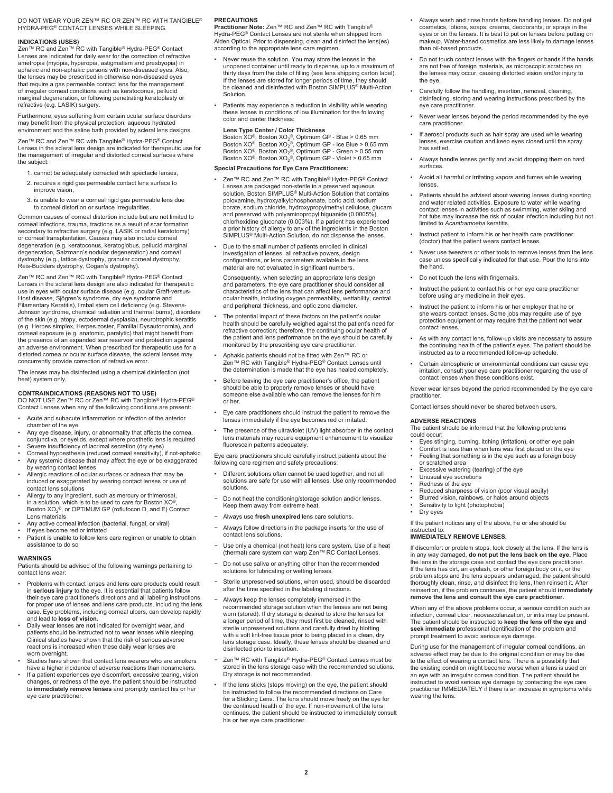#### DO NOT WEAR YOUR ZEN™ RC OR ZEN™ RC WITH TANGIBLE® HYDRA-PEG® CONTACT LENSES WHILE SLEEPING.

#### **INDICATIONS (USES)**

Zen™ RC and Zen™ RC with Tangible® Hydra-PEG® Contact<br>Lenses are indicated for daily wear for the correction of refractive ametropia (myopia, hyperopia, astigmatism and presbyopia) in aphakic and non-aphakic persons with non-diseased eyes. Also, the lenses may be prescribed in otherwise non-diseased eyes that require a gas permeable contact lens for the management of irregular corneal conditions such as keratoconus, pellucid marginal degeneration, or following penetrating keratoplasty or refractive (e.g. LASIK) surgery.

Furthermore, eyes suffering from certain ocular surface disorders may benefit from the physical protection, aqueous hydrated environment and the saline bath provided by scleral lens designs.

Zen™ RC and Zen™ RC with Tangible® Hydra-PEG® Contact<br>Lenses in the scleral lens design are indicated for therapeutic use for the management of irregular and distorted corneal surfaces where the subject:

- 1. cannot be adequately corrected with spectacle lenses,
- 2. requires a rigid gas permeable contact lens surface to improve vision,
- 3. is unable to wear a corneal rigid gas permeable lens due to corneal distortion or surface irregularities.

Common causes of corneal distortion include but are not limited to corneal infections, trauma, tractions as a result of scar formation secondary to refractive surgery (e.g. LASIK or radial keratotomy) or corneal transplantation. Causes may also include corneal degeneration (e.g. keratoconus, keratoglobus, pellucid marginal degeneration, Salzmann's nodular degeneration) and corneal dystrophy (e.g., lattice dystrophy, granular corneal dystrophy, Reis-Bucklers dystrophy, Cogan's dystrophy).

Zen™ RC and Zen™ RC with Tangible® Hydra-PEG® Contact Lenses in the scleral lens design are also indicated for therapeutic use in eyes with ocular surface disease (e.g. ocular Graft-versus-Host disease, Sjögren's syndrome, dry eye syndrome and Filamentary Keratitis), limbal stem cell deficiency (e.g. Stevens-Johnson syndrome, chemical radiation and thermal burns), disorders of the skin (e.g. atopy, ectodermal dysplasia), neurotrophic keratitis (e.g. Herpes simplex, Herpes zoster, Familial Dysautonomia), and corneal exposure (e.g. anatomic, paralytic) that might benefit from the presence of an expanded tear reservoir and protection against an adverse environment. When prescribed for therapeutic use for a distorted cornea or ocular surface disease, the scleral lenses may concurrently provide correction of refractive error.

The lenses may be disinfected using a chemical disinfection (not heat) system only.

**CONTRAINDICATIONS (REASONS NOT TO USE)**<br>DO NOT USE Zen™ RC or Zen™ RC with Tangible® Hydra-PEG®<br>Contact Lenses when any of the following conditions are present:

- Acute and subacute inflammation or infection of the anterior chamber of the eye
- Any eye disease, injury, or abnormality that affects the cornea, conjunctiva, or eyelids, except where prosthetic lens is required
- Severe insufficiency of lacrimal secretion (dry eyes)
- Corneal hypoesthesia (reduced corneal sensitivity), if not-aphakic Any systemic disease that may affect the eye or be exaggerated by wearing contact lenses
- Allergic reactions of ocular surfaces or adnexa that may be induced or exaggerated by wearing contact lenses or use of contact lens solutions
- Allergy to any ingredient, such as mercury or thimerosal, in a solution, which is to be used to care for Boston XO®, Boston XO2 ®, or OPTIMUM GP (roflufocon D, and E) Contact Lens materials
- Any active corneal infection (bacterial, fungal, or viral) • If eyes become red or irritated
- 
- Patient is unable to follow lens care regimen or unable to obtain assistance to do so

#### **WARNINGS**

Patients should be advised of the following warnings pertaining to contact lens wear:

- Problems with contact lenses and lens care products could result in **serious injury** to the eye. It is essential that patients follow their eye care practitioner's directions and all labeling instructions for proper use of lenses and lens care products, including the lens case. Eye problems, including corneal ulcers, can develop rapidly and lead to **loss of vision.**
- Daily wear lenses are **not** indicated for overnight wear, and patients should be instructed not to wear lenses while sleeping. Clinical studies have shown that the risk of serious adverse reactions is increased when these daily wear lenses are worn overnight.
- Studies have shown that contact lens wearers who are smokers have a higher incidence of adverse reactions than nonsmokers.
- If a patient experiences eye discomfort, excessive tearing, vision changes, or redness of the eye, the patient should be instructed to **immediately remove lenses** and promptly contact his or her eye care practitioner.

#### **PRECAUTIONS**

**Practitioner Note:** Zen™ RC and Zen™ RC with Tangible® Hydra-PEG® Contact Lenses are not sterile when shipped from Alden Optical. Prior to dispensing, clean and disinfect the lens(es) according to the appropriate lens care regimen.

- Never reuse the solution. You may store the lenses in the unopened container until ready to dispense, up to a maximum of thirty days from the date of filling (see lens shipping carton label). If the lenses are stored for longer periods of time, they should be cleaned and disinfected with Boston SIMPLUS® Multi-Action Solution.
- Patients may experience a reduction in visibility while wearing these lenses in conditions of low illumination for the following color and center thickness:

#### **Lens Type Center / Color Thickness**

Boston XO®, Boston XO<sub>2</sub>®, Optimum GP - Blue > 0.65 mm<br>Boston XO®, Boston XO<sub>2</sub>®, Optimum GP - Ice Blue > 0.55 mm<br>Boston XO®, Boston XO<sub>2</sub>®, Optimum GP - Green > 0.55 mm<br>Boston XO®, Boston XO<sub>2</sub>®, Optimum GP - Violet > 0.

#### **Special Precautions for Eye Care Practitioners:**

Zen™ RC and Zen™ RC with Tangible® Hydra-PEG® Contact Lenses are packaged non-sterile in a preserved aqueous solution, Boston SIMPLUS® Multi-Action Solution that contains poloxamine, hydroxyalkylphosphonate, boric acid, sodium borate, sodium chloride, hydroxypropylmethyl cellulose, glucam and preserved with polyaminopropyl biguanide (0.0005%), chlorhexidine gluconate (0.003%). If a patient has experienced a prior history of allergy to any of the ingredients in the Boston SIMPLUS® Multi-Action Solution, do not dispense the lenses.

• Due to the small number of patients enrolled in clinical investigation of lenses, all refractive powers, design configurations, or lens parameters available in the lens material are not evaluated in significant numbers.

Consequently, when selecting an appropriate lens design and parameters, the eye care practitioner should consider all characteristics of the lens that can affect lens performance and ocular health, including oxygen permeability, wettability, central and peripheral thickness, and optic zone diameter.

- The potential impact of these factors on the patient's ocular health should be carefully weighed against the patient's need for refractive correction; therefore, the continuing ocular health of the patient and lens performance on the eye should be carefully monitored by the prescribing eye care practitioner.
- Aphakic patients should not be fitted with Zen™ RC or Zen™ RC with Tangible® Hydra-PEG® Contact Lenses until the determination is made that the eye has healed completely.
- Before leaving the eye care practitioner's office, the patient should be able to properly remove lenses or should have someone else available who can remove the lenses for him or her.
- Eye care practitioners should instruct the patient to remove the lenses immediately if the eye becomes red or irritated.
- The presence of the ultraviolet (UV) light absorber in the contact lens materials may require equipment enhancement to visualize fluorescein patterns adequately.

Eye care practitioners should carefully instruct patients about the following care regimen and safety precautions:

- Different solutions often cannot be used together, and not all solutions are safe for use with all lenses. Use only recommended solutions.
- Do not heat the conditioning/storage solution and/or lenses. Keep them away from extreme heat.
- − Always use **fresh unexpired** lens care solutions.
- Always follow directions in the package inserts for the use of contact lens solutions.
- − Use only a chemical (not heat) lens care system. Use of a heat (thermal) care system can warp Zen™ RC Contact Lenses.
- − Do not use saliva or anything other than the recommended solutions for lubricating or wetting lense
- Sterile unpreserved solutions, when used, should be discarded after the time specified in the labeling directions.
- − Always keep the lenses completely immersed in the recommended storage solution when the lenses are not being worn (stored). If dry storage is desired to store the lenses for a longer period of time, they must first be cleaned, rinsed with sterile unpreserved solutions and carefully dried by blotting with a soft lint-free tissue prior to being placed in a clean, dry lens storage case. Ideally, these lenses should be cleaned and disinfected prior to insertion.
- Zen™ RC with Tangible® Hydra-PEG® Contact Lenses must be stored in the lens storage case with the recommended solutions. Dry storage is not recommended.
- If the lens sticks (stops moving) on the eye, the patient should be instructed to follow the recommended directions on Care for a Sticking Lens. The lens should move freely on the eye for the continued health of the eye. If non-movement of the lens continues, the patient should be instructed to immediately consult his or her eye care practitioner.
- Always wash and rinse hands before handling lenses. Do not get cosmetics, lotions, soaps, creams, deodorants, or sprays in the eyes or on the lenses. It is best to put on lenses before putting on makeup. Water-based cosmetics are less likely to damage lenses than oil-based products.
- Do not touch contact lenses with the fingers or hands if the hands are not free of foreign materials, as microscopic scratches on the lenses may occur, causing distorted vision and/or injury to the eye.
- Carefully follow the handling, insertion, removal, cleaning, disinfecting, storing and wearing instructions prescribed by the eye care practitioner.
- Never wear lenses beyond the period recommended by the eye care practitioner.
- If aerosol products such as hair spray are used while wearing lenses, exercise caution and keep eyes closed until the spray has settled.
- Always handle lenses gently and avoid dropping them on hard surfaces.
- Avoid all harmful or irritating vapors and fumes while wearing lenses
- Patients should be advised about wearing lenses during sporting and water related activities. Exposure to water while wearing contact lenses in activities such as swimming, water skiing and hot tubs may increase the risk of ocular infection including but not limited to *Acanthamoeba* keratitis.
- Instruct patient to inform his or her health care practitioner (doctor) that the patient wears contact lenses.
- Never use tweezers or other tools to remove lenses from the lens case unless specifically indicated for that use. Pour the lens into the hand.
- Do not touch the lens with fingernails.
- Instruct the patient to contact his or her eye care practitioner before using any medicine in their eyes.
- Instruct the patient to inform his or her employer that he or she wears contact lenses. Some jobs may require use of eye protection equipment or may require that the patient not wear .<br>contact lenses
- As with any contact lens, follow-up visits are necessary to assure the continuing health of the patient's eyes. The patient should be instructed as to a recommended follow-up schedule.
- Certain atmospheric or environmental conditions can cause eye irritation, consult your eye care practitioner regarding the use of contact lenses when these conditions exist.

Never wear lenses beyond the period recommended by the eye care practitioner.

Contact lenses should never be shared between users.

#### **ADVERSE REACTIONS**

The patient should be informed that the following problems could occur:

- Eyes stinging, burning, itching (irritation), or other eye pain
- Comfort is less than when lens was first placed on the eye
- Feeling that something is in the eye such as a foreign body or scratched area
- 
- Excessive watering (tearing) of the eye
- Unusual eye secretions Redness of the eye
- Reduced sharpness of vision (poor visual acuity)
- Blurred vision, rainbows, or halos around objects
- Sensitivity to light (photophobia)
- Dry eyes

If the patient notices any of the above, he or she should be instructed to:

#### **IMMEDIATELY REMOVE LENSES.**

If discomfort or problem stops, look closely at the lens. If the lens is in any way damaged, **do not put the lens back on the eye.** Place the lens in the storage case and contact the eye care practitioner. If the lens has dirt, an eyelash, or other foreign body on it, or the problem stops and the lens appears undamaged, the patient should thoroughly clean, rinse, and disinfect the lens, then reinsert it. After reinsertion, if the problem continues, the patient should **immediately remove the lens and consult the eye care practitioner.**

When any of the above problems occur, a serious condition such as infection, corneal ulcer, neovascularization, or iritis may be present. The patient should be instructed to **keep the lens off the eye and seek immediate** professional identification of the problem and prompt treatment to avoid serious eye damage.

During use for the management of irregular corneal conditions, an adverse effect may be due to the original condition or may be due to the effect of wearing a contact lens. There is a possibility that the existing condition might become worse when a lens is used on an eye with an irregular cornea condition. The patient should be instructed to avoid serious eye damage by contacting the eye care practitioner IMMEDIATELY if there is an increase in symptoms while wearing the lens.